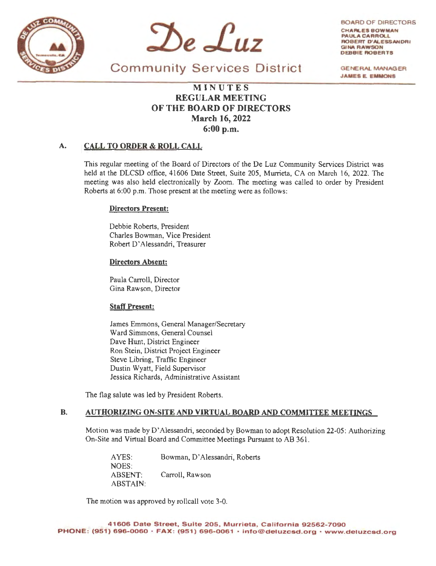



BOARD OF DIRECTORS CHARLES **BOWMAN**  PAULA CARROLL ROBERT D'ALESSANDRI **GINA RAWSON** DEBBIE **AOBERTS** 

**GENERAL MANAGER JAMES E. EMMONS** 

Community Services District

# **MI N UTES REGULAR MEETING OF THE BOARD OF DIRECTORS March 16, 2022 6:00 p.m.**

# **A. CALL TO ORDER** & **ROLL CALL**

This regular meeting of the Board of Directors of the De Luz Community Services District was held at the DLCSD office, 41606 Date Street, Suite 205, Murrieta, CA on March 16, 2022. The meeting was also held electronically by Zoom. The meeting was called to order by President Roberts at 6:00 p.m. Those present at the meeting were as follows:

## **Directors Present:**

Debbie Roberts, President Charles Bowman, Vice President Robert D' Alessandri, Treasurer

## **Directors Absent:**

Paula Carroll, Director Gina Rawson, Director

### **Staff Present:**

James Emmons, General Manager/Secretary Ward Simmons, General Counsel Dave Hunt, District Engineer Ron Stein, District Project Engineer Steve Libring, Traffic Engineer Dustin Wyatt, Field Supervisor Jessica Richards, Administrative Assistant

The flag salute was led by President Roberts.

# **B. AUTHORIZING ON-SITE AND VIRTUAL BOARD AND COMMITTEE MEETINGS**

Motion was made by D' Alessandri, seconded by Bowman to adopt Resolution 22-05: Authorizing On-Site and Virtual Board and Committee Meetings Pursuant to AB 361.

AYES: NOES: ABSENT: ABSTAlN: Bowman, D' Alessandri, Roberts Carroll, Rawson

The motion was approved by rollcall vote 3-0.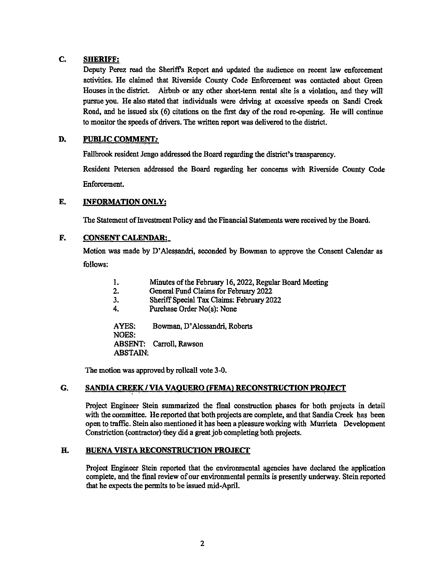# **C. SHERIFF:**

Deputy Perez read the Sheriff's Report and updated the audience on recent law enforcement activities. He claimed that Riverside County Code Enforcement was contacted about Green Houses in the district. Airbnb or any other short-term rental site is a violation, and they will pursue you. He also stated that individuals were driving at excessive speeds on Sandi Creek Road, and he issued six (6) citations on the first day of the road re-opening. He will continue to monitor the speeds of drivers. The written report was delivered to the district.

# **D. PUBLIC COMMENT:**

Fallbrook resident Jengo addressed the Board regarding the district's transparency.

Resident Petersen addressed the Board regarding her concerns with Riverside County Code Enforcement.

## **E. INFORMATION ONLY:**

The Statement of Investment Policy and the Financial Statements were received by the Board.

#### **F. CONSENT CALENDAR:\_**

Motion was made by D' Alessandri, seconded by Bowman to approve the Consent Calendar as follows:

| 1.           | Minutes of the February 16, 2022, Regular Board Meeting |
|--------------|---------------------------------------------------------|
| 2.           | General Fund Claims for February 2022                   |
| 3.           | Sheriff Special Tax Claims: February 2022               |
| 4.           | Purchase Order No(s): None                              |
| AYES:        | Bowman, D'Alessandri, Roberts                           |
| <b>NOES:</b> |                                                         |
|              | ABSENT: Carroll, Rawson                                 |

ABSTAIN:

The motion was approved by rollcall vote 3-0.

#### **G. SANDIA CREEK/ VIA VAQUERO (FEMA) RECONSTRUCTION PROJECT**

Project Engineer Stein summarized the final construction phases for both projects in detail with the committee. He reported that both projects are complete, and that Sandia Creek has been open to traffic. Stein also mentioned it has been a pleasure working with Murrieta Development Constriction ( contractor) they did a great job completing both projects.

# **H. BUENA VISTA RECONSTRUCTION PROJECT**

Project Engineer Stein reported that the environmental agencies have declared the application complete, and the final review of our environmental permits is presently underway. Stein reported that he expects the permits to be issued mid-April.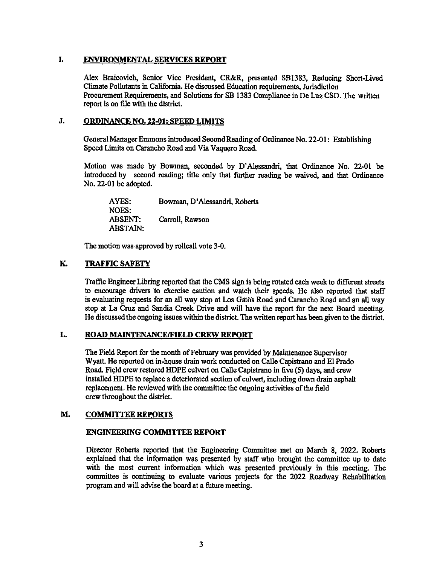# **I. ENVIRONMENTAL SERVICES REPORT**

Alex Braicovich, Senior Vice President, CR&R, presented SB1383, Reducing Short-Lived Climate Pollutants in California. He discussed Education requirements, Jurisdiction Procurement Requirements, and Solutions for SB 1383 Compliance in De Luz CSD. The written report is on file with the district.

# **J. ORDINANCE NO. 22-01: SPEED LIMITS**

General Manager Emmons introduced Second Reading of Ordinance No. 22-01 : Establishing Speed Limits on Carancho Road and Via Vaquero Road.

Motion was made by Bowman, seconded by D' Alessandri, that Ordinance No. 22-01 be introduced by second reading; title only that further reading be waived, and that Ordinance No. 22-01 be adopted.

| AYES:           | Bowman, D'Alessandri, Roberts |
|-----------------|-------------------------------|
| <b>NOES:</b>    |                               |
| <b>ABSENT:</b>  | Carroll, Rawson               |
| <b>ABSTAIN:</b> |                               |

The motion was approved by rollcall vote 3-0.

# **K. TRAFFIC SAFETY**

Traffic Engineer Libring reported that the CMS sign is being rotated each week to different streets to encourage drivers to exercise caution and watch their speeds. He also reported that staff is evaluating requests for an all way stop at Los Gatos Road and Carancho Road and an all way stop at La Cruz and Sandia Creek Drive and will have the report for the next Board meeting. He discussed the ongoing issues within the district. The written report has been given to the district.

#### **L. ROAD MAINTENANCE/FIELD CREW REPORT**

The Field Report for the month of February was provided by Maintenance Supervisor Wyatt. He reported on in-house drain work conducted on Calle Capistrano and El Prado Road. Field crew restored HOPE culvert on Calle Capistrano in five (5) days, and crew installed HDPE to replace a deteriorated section of culvert, including down drain asphalt replacement. He reviewed with the committee the ongoing activities of the field crew throughout the district.

#### **M. COMMITTEE REPORTS**

### **ENGINEERING COMMITTEE REPORT**

Director Roberts reported that the Engineering Committee met on March 8, 2022. Roberts explained that the information was presented by staff who brought the committee up to date with the most current information which was presented previously in this meeting. The committee is continuing to evaluate various projects for the 2022 Roadway Rehabilitation program and will advise the board at a future meeting.